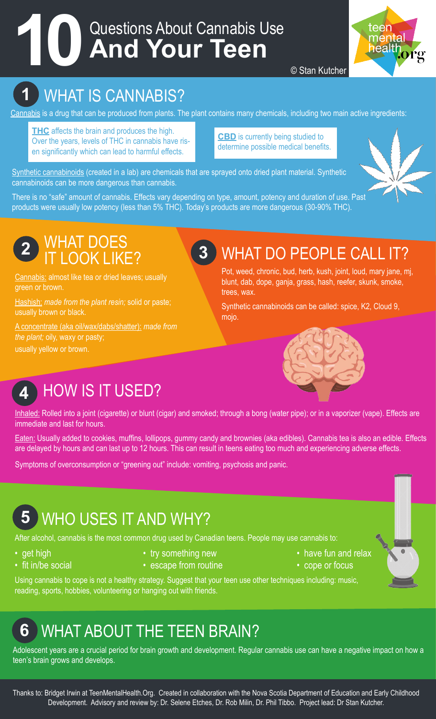# Questions About Cannabis Use **10 And Your Teen**



© Stan Kutcher

## **1** WHAT IS CANNABIS?

Cannabis is a drug that can be produced from plants. The plant contains many chemicals, including two main active ingredients:

**THC** affects the brain and produces the high. Over the years, levels of THC in cannabis have risen significantly which can lead to harmful effects.

**CBD** is currently being studied to determine possible medical benefits.

Synthetic cannabinoids (created in a lab) are chemicals that are sprayed onto dried plant material. Synthetic cannabinoids can be more dangerous than cannabis.

There is no "safe" amount of cannabis. Effects vary depending on type, amount, potency and duration of use. Past products were usually low potency (less than 5% THC). Today's products are more dangerous (30-90% THC).



#### **2** WHAT DOES IT LOOK LIKE?

Cannabis: almost like tea or dried leaves; usually green or brown.

Hashish: *made from the plant resin;* solid or paste; usually brown or black.

A concentrate (aka oil/wax/dabs/shatter): *made from the plant;* oily, waxy or pasty; usually yellow or brown.

## **3** WHAT DO PEOPLE CALL IT?

Pot, weed, chronic, bud, herb, kush, joint, loud, mary jane, mj, blunt, dab, dope, ganja, grass, hash, reefer, skunk, smoke, trees, wax.

Synthetic cannabinoids can be called: spice, K2, Cloud 9, mojo.



## **4** HOW IS IT USED?

Inhaled: Rolled into a joint (cigarette) or blunt (cigar) and smoked; through a bong (water pipe); or in a vaporizer (vape). Effects are immediate and last for hours.

Eaten: Usually added to cookies, muffins, lollipops, gummy candy and brownies (aka edibles). Cannabis tea is also an edible. Effects are delayed by hours and can last up to 12 hours. This can result in teens eating too much and experiencing adverse effects.

Symptoms of overconsumption or "greening out" include: vomiting, psychosis and panic.

## **5** WHO USES IT AND WHY?

After alcohol, cannabis is the most common drug used by Canadian teens. People may use cannabis to:

- 
- 
- get high try something new the example  **have fun and relax** 
	-
- 
- fit in/be social escape from routine  $\bullet$  cope or focus

Using cannabis to cope is not a healthy strategy. Suggest that your teen use other techniques including: music, reading, sports, hobbies, volunteering or hanging out with friends.

## **6** WHAT ABOUT THE TEEN BRAIN?

Adolescent years are a crucial period for brain growth and development. Regular cannabis use can have a negative impact on how a teen's brain grows and develops.

Thanks to: Bridget Irwin at TeenMentalHealth.Org. Created in collaboration with the Nova Scotia Department of Education and Early Childhood Development. Advisory and review by: Dr. Selene Etches, Dr. Rob Milin, Dr. Phil Tibbo. Project lead: Dr Stan Kutcher.